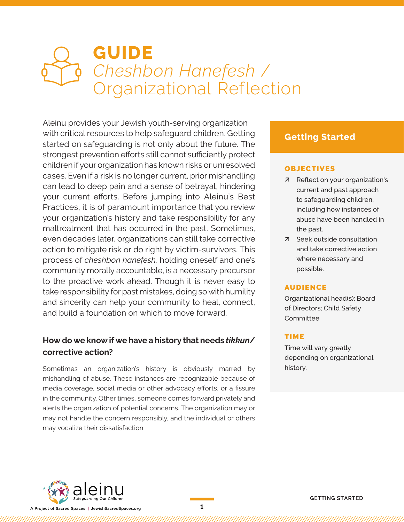# **GUIDE**  *Cheshbon Hanefesh* / Organizational Reflection

Aleinu provides your Jewish youth-serving organization with critical resources to help safeguard children. Getting started on safeguarding is not only about the future. The strongest prevention efforts still cannot sufficiently protect children if your organization has known risks or unresolved cases. Even if a risk is no longer current, prior mishandling can lead to deep pain and a sense of betrayal, hindering your current efforts. Before jumping into Aleinu's Best Practices, it is of paramount importance that you review your organization's history and take responsibility for any maltreatment that has occurred in the past. Sometimes, even decades later, organizations can still take corrective action to mitigate risk or do right by victim-survivors. This process of *cheshbon hanefesh,* holding oneself and one's community morally accountable, is a necessary precursor to the proactive work ahead. Though it is never easy to take responsibility for past mistakes, doing so with humility and sincerity can help your community to heal, connect, and build a foundation on which to move forward.

#### **How do we know if we have a history that needs** *tikkun***/ corrective action?**

Sometimes an organization's history is obviously marred by mishandling of abuse. These instances are recognizable because of media coverage, social media or other advocacy efforts, or a fissure in the community. Other times, someone comes forward privately and alerts the organization of potential concerns. The organization may or may not handle the concern responsibly, and the individual or others may vocalize their dissatisfaction.

## **Getting Started**

#### OBJECTIVES

- ä Reflect on your organization's current and past approach to safeguarding children, including how instances of abuse have been handled in the past.
- ä Seek outside consultation and take corrective action where necessary and possible.

#### AUDIENCE

Organizational head(s); Board of Directors; Child Safety **Committee** 

#### TIME

Time will vary greatly depending on organizational history.



A Project of Sacred Spaces | JewishSacredSpaces.org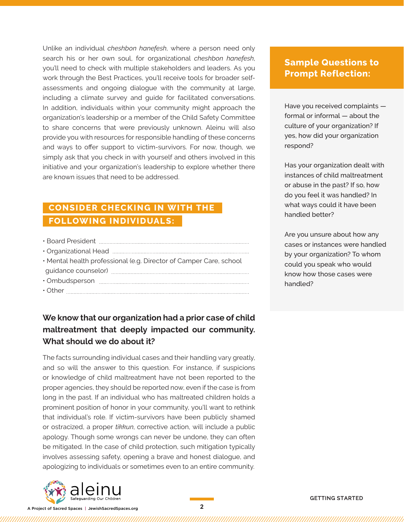Unlike an individual *cheshbon hanefesh*, where a person need only search his or her own soul, for organizational *cheshbon hanefesh*, you'll need to check with multiple stakeholders and leaders. As you work through the Best Practices, you'll receive tools for broader selfassessments and ongoing dialogue with the community at large, including a climate survey and guide for facilitated conversations. In addition, individuals within your community might approach the organization's leadership or a member of the Child Safety Committee to share concerns that were previously unknown. Aleinu will also provide you with resources for responsible handling of these concerns and ways to offer support to victim-survivors. For now, though, we simply ask that you check in with yourself and others involved in this initiative and your organization's leadership to explore whether there are known issues that need to be addressed.

# **CONSIDER CHECKING IN WITH THE FOLLOWING INDIVIDUALS:**

| • Mental health professional (e.g. Director of Camper Care, school |
|--------------------------------------------------------------------|
|                                                                    |
|                                                                    |
|                                                                    |
|                                                                    |

## **We know that our organization had a prior case of child maltreatment that deeply impacted our community. What should we do about it?**

The facts surrounding individual cases and their handling vary greatly, and so will the answer to this question. For instance, if suspicions or knowledge of child maltreatment have not been reported to the proper agencies, they should be reported now, even if the case is from long in the past. If an individual who has maltreated children holds a prominent position of honor in your community, you'll want to rethink that individual's role. If victim-survivors have been publicly shamed or ostracized, a proper *tikkun*, corrective action, will include a public apology. Though some wrongs can never be undone, they can often be mitigated. In the case of child protection, such mitigation typically involves assessing safety, opening a brave and honest dialogue, and apologizing to individuals or sometimes even to an entire community.



A Project of Sacred Spaces | JewishSacredSpaces.org

## **Sample Questions to Prompt Reflection:**

Have you received complaints formal or informal — about the culture of your organization? If yes, how did your organization respond?

Has your organization dealt with instances of child maltreatment or abuse in the past? If so, how do you feel it was handled? In what ways could it have been handled better?

Are you unsure about how any cases or instances were handled by your organization? To whom could you speak who would know how those cases were handled?